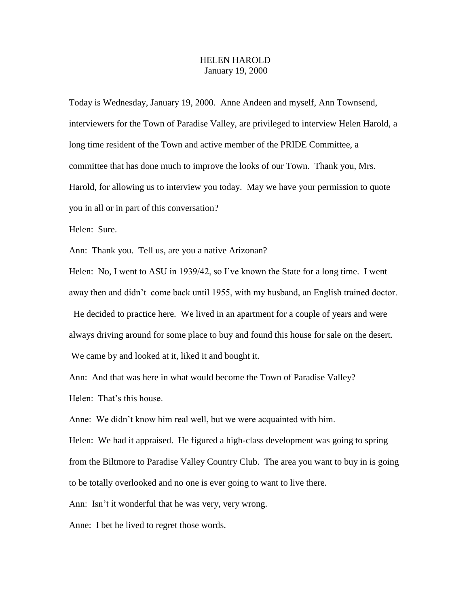## HELEN HAROLD January 19, 2000

Today is Wednesday, January 19, 2000. Anne Andeen and myself, Ann Townsend, interviewers for the Town of Paradise Valley, are privileged to interview Helen Harold, a long time resident of the Town and active member of the PRIDE Committee, a committee that has done much to improve the looks of our Town. Thank you, Mrs. Harold, for allowing us to interview you today. May we have your permission to quote you in all or in part of this conversation?

Helen: Sure.

Ann: Thank you. Tell us, are you a native Arizonan?

Helen: No, I went to ASU in 1939/42, so I've known the State for a long time. I went away then and didn't come back until 1955, with my husband, an English trained doctor. He decided to practice here. We lived in an apartment for a couple of years and were always driving around for some place to buy and found this house for sale on the desert. We came by and looked at it, liked it and bought it.

Ann: And that was here in what would become the Town of Paradise Valley? Helen: That's this house.

Anne: We didn't know him real well, but we were acquainted with him.

Helen: We had it appraised. He figured a high-class development was going to spring from the Biltmore to Paradise Valley Country Club. The area you want to buy in is going to be totally overlooked and no one is ever going to want to live there.

Ann: Isn't it wonderful that he was very, very wrong.

Anne: I bet he lived to regret those words.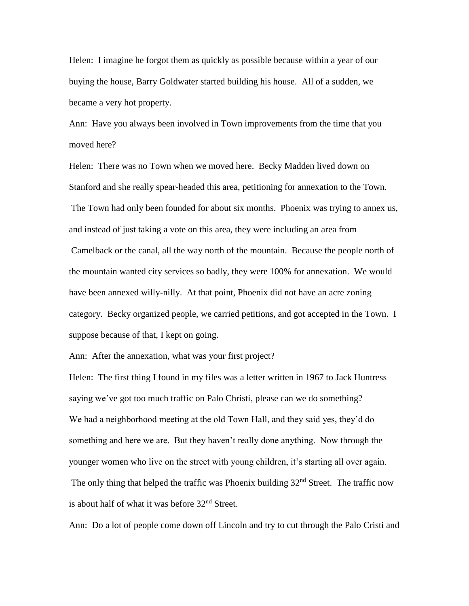Helen: I imagine he forgot them as quickly as possible because within a year of our buying the house, Barry Goldwater started building his house. All of a sudden, we became a very hot property.

Ann: Have you always been involved in Town improvements from the time that you moved here?

Helen: There was no Town when we moved here. Becky Madden lived down on Stanford and she really spear-headed this area, petitioning for annexation to the Town. The Town had only been founded for about six months. Phoenix was trying to annex us, and instead of just taking a vote on this area, they were including an area from Camelback or the canal, all the way north of the mountain. Because the people north of the mountain wanted city services so badly, they were 100% for annexation. We would have been annexed willy-nilly. At that point, Phoenix did not have an acre zoning category. Becky organized people, we carried petitions, and got accepted in the Town. I suppose because of that, I kept on going.

Ann: After the annexation, what was your first project?

Helen: The first thing I found in my files was a letter written in 1967 to Jack Huntress saying we've got too much traffic on Palo Christi, please can we do something? We had a neighborhood meeting at the old Town Hall, and they said yes, they'd do something and here we are. But they haven't really done anything. Now through the younger women who live on the street with young children, it's starting all over again. The only thing that helped the traffic was Phoenix building 32<sup>nd</sup> Street. The traffic now is about half of what it was before 32nd Street.

Ann: Do a lot of people come down off Lincoln and try to cut through the Palo Cristi and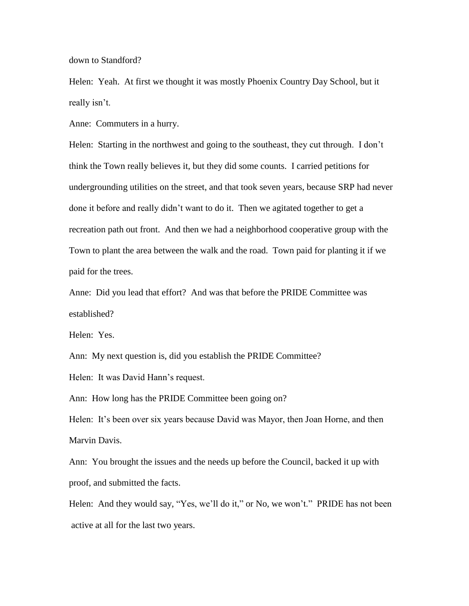down to Standford?

Helen: Yeah. At first we thought it was mostly Phoenix Country Day School, but it really isn't.

Anne: Commuters in a hurry.

Helen: Starting in the northwest and going to the southeast, they cut through. I don't think the Town really believes it, but they did some counts. I carried petitions for undergrounding utilities on the street, and that took seven years, because SRP had never done it before and really didn't want to do it. Then we agitated together to get a recreation path out front. And then we had a neighborhood cooperative group with the Town to plant the area between the walk and the road. Town paid for planting it if we paid for the trees.

Anne: Did you lead that effort? And was that before the PRIDE Committee was established?

Helen: Yes.

Ann: My next question is, did you establish the PRIDE Committee? Helen: It was David Hann's request.

Ann: How long has the PRIDE Committee been going on?

Helen: It's been over six years because David was Mayor, then Joan Horne, and then Marvin Davis.

Ann: You brought the issues and the needs up before the Council, backed it up with proof, and submitted the facts.

Helen: And they would say, "Yes, we'll do it," or No, we won't." PRIDE has not been active at all for the last two years.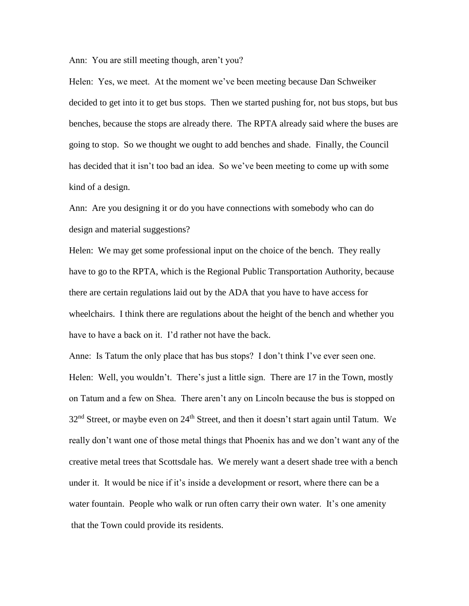Ann: You are still meeting though, aren't you?

Helen: Yes, we meet. At the moment we've been meeting because Dan Schweiker decided to get into it to get bus stops. Then we started pushing for, not bus stops, but bus benches, because the stops are already there. The RPTA already said where the buses are going to stop. So we thought we ought to add benches and shade. Finally, the Council has decided that it isn't too bad an idea. So we've been meeting to come up with some kind of a design.

Ann: Are you designing it or do you have connections with somebody who can do design and material suggestions?

Helen: We may get some professional input on the choice of the bench. They really have to go to the RPTA, which is the Regional Public Transportation Authority, because there are certain regulations laid out by the ADA that you have to have access for wheelchairs. I think there are regulations about the height of the bench and whether you have to have a back on it. I'd rather not have the back.

Anne: Is Tatum the only place that has bus stops? I don't think I've ever seen one. Helen: Well, you wouldn't. There's just a little sign. There are 17 in the Town, mostly on Tatum and a few on Shea. There aren't any on Lincoln because the bus is stopped on  $32<sup>nd</sup>$  Street, or maybe even on  $24<sup>th</sup>$  Street, and then it doesn't start again until Tatum. We really don't want one of those metal things that Phoenix has and we don't want any of the creative metal trees that Scottsdale has. We merely want a desert shade tree with a bench under it. It would be nice if it's inside a development or resort, where there can be a water fountain. People who walk or run often carry their own water. It's one amenity that the Town could provide its residents.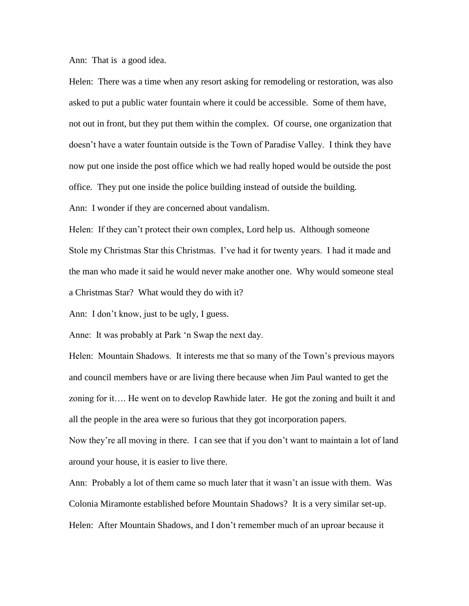Ann: That is a good idea.

Helen: There was a time when any resort asking for remodeling or restoration, was also asked to put a public water fountain where it could be accessible. Some of them have, not out in front, but they put them within the complex. Of course, one organization that doesn't have a water fountain outside is the Town of Paradise Valley. I think they have now put one inside the post office which we had really hoped would be outside the post office. They put one inside the police building instead of outside the building.

Ann: I wonder if they are concerned about vandalism.

Helen: If they can't protect their own complex, Lord help us. Although someone Stole my Christmas Star this Christmas. I've had it for twenty years. I had it made and the man who made it said he would never make another one. Why would someone steal a Christmas Star? What would they do with it?

Ann: I don't know, just to be ugly, I guess.

Anne: It was probably at Park 'n Swap the next day.

Helen: Mountain Shadows. It interests me that so many of the Town's previous mayors and council members have or are living there because when Jim Paul wanted to get the zoning for it…. He went on to develop Rawhide later. He got the zoning and built it and all the people in the area were so furious that they got incorporation papers.

Now they're all moving in there. I can see that if you don't want to maintain a lot of land around your house, it is easier to live there.

Ann: Probably a lot of them came so much later that it wasn't an issue with them. Was Colonia Miramonte established before Mountain Shadows? It is a very similar set-up. Helen: After Mountain Shadows, and I don't remember much of an uproar because it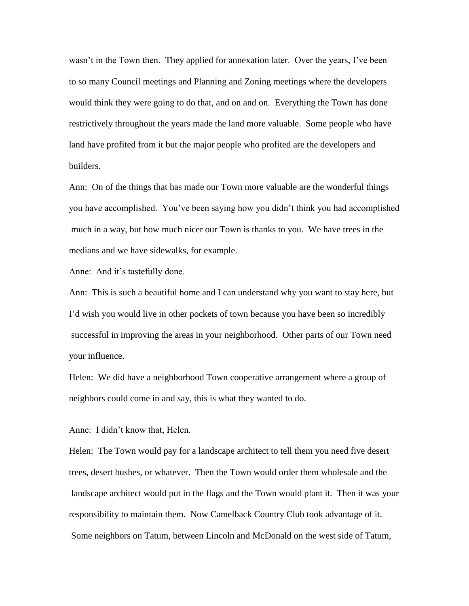wasn't in the Town then. They applied for annexation later. Over the years, I've been to so many Council meetings and Planning and Zoning meetings where the developers would think they were going to do that, and on and on. Everything the Town has done restrictively throughout the years made the land more valuable. Some people who have land have profited from it but the major people who profited are the developers and builders.

Ann: On of the things that has made our Town more valuable are the wonderful things you have accomplished. You've been saying how you didn't think you had accomplished much in a way, but how much nicer our Town is thanks to you. We have trees in the medians and we have sidewalks, for example.

Anne: And it's tastefully done.

Ann: This is such a beautiful home and I can understand why you want to stay here, but I'd wish you would live in other pockets of town because you have been so incredibly successful in improving the areas in your neighborhood. Other parts of our Town need your influence.

Helen: We did have a neighborhood Town cooperative arrangement where a group of neighbors could come in and say, this is what they wanted to do.

Anne: I didn't know that, Helen.

Helen: The Town would pay for a landscape architect to tell them you need five desert trees, desert bushes, or whatever. Then the Town would order them wholesale and the landscape architect would put in the flags and the Town would plant it. Then it was your responsibility to maintain them. Now Camelback Country Club took advantage of it. Some neighbors on Tatum, between Lincoln and McDonald on the west side of Tatum,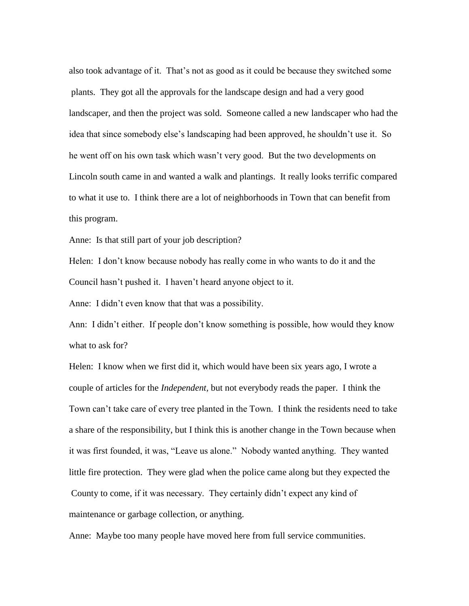also took advantage of it. That's not as good as it could be because they switched some plants. They got all the approvals for the landscape design and had a very good landscaper, and then the project was sold. Someone called a new landscaper who had the idea that since somebody else's landscaping had been approved, he shouldn't use it. So he went off on his own task which wasn't very good. But the two developments on Lincoln south came in and wanted a walk and plantings. It really looks terrific compared to what it use to. I think there are a lot of neighborhoods in Town that can benefit from this program.

Anne: Is that still part of your job description?

Helen: I don't know because nobody has really come in who wants to do it and the Council hasn't pushed it. I haven't heard anyone object to it.

Anne: I didn't even know that that was a possibility.

Ann: I didn't either. If people don't know something is possible, how would they know what to ask for?

Helen: I know when we first did it, which would have been six years ago, I wrote a couple of articles for the *Independent,* but not everybody reads the paper. I think the Town can't take care of every tree planted in the Town. I think the residents need to take a share of the responsibility, but I think this is another change in the Town because when it was first founded, it was, "Leave us alone." Nobody wanted anything. They wanted little fire protection. They were glad when the police came along but they expected the County to come, if it was necessary. They certainly didn't expect any kind of maintenance or garbage collection, or anything.

Anne: Maybe too many people have moved here from full service communities.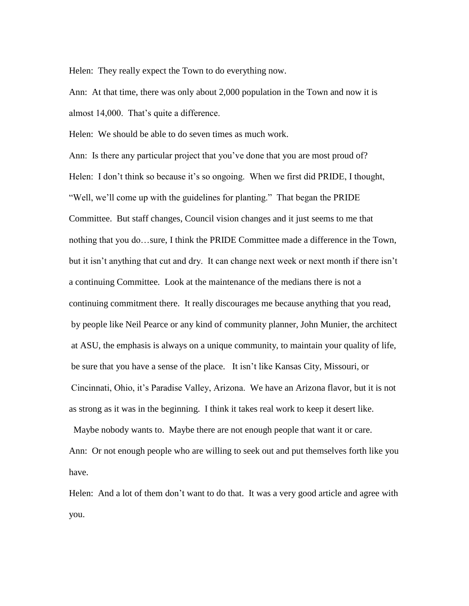Helen: They really expect the Town to do everything now.

Ann: At that time, there was only about 2,000 population in the Town and now it is almost 14,000. That's quite a difference.

Helen: We should be able to do seven times as much work.

Ann: Is there any particular project that you've done that you are most proud of? Helen: I don't think so because it's so ongoing. When we first did PRIDE, I thought, "Well, we'll come up with the guidelines for planting." That began the PRIDE Committee. But staff changes, Council vision changes and it just seems to me that nothing that you do…sure, I think the PRIDE Committee made a difference in the Town, but it isn't anything that cut and dry. It can change next week or next month if there isn't a continuing Committee. Look at the maintenance of the medians there is not a continuing commitment there. It really discourages me because anything that you read, by people like Neil Pearce or any kind of community planner, John Munier, the architect at ASU, the emphasis is always on a unique community, to maintain your quality of life, be sure that you have a sense of the place. It isn't like Kansas City, Missouri, or Cincinnati, Ohio, it's Paradise Valley, Arizona. We have an Arizona flavor, but it is not as strong as it was in the beginning. I think it takes real work to keep it desert like.

Ann: Or not enough people who are willing to seek out and put themselves forth like you have.

Maybe nobody wants to. Maybe there are not enough people that want it or care.

Helen: And a lot of them don't want to do that. It was a very good article and agree with you.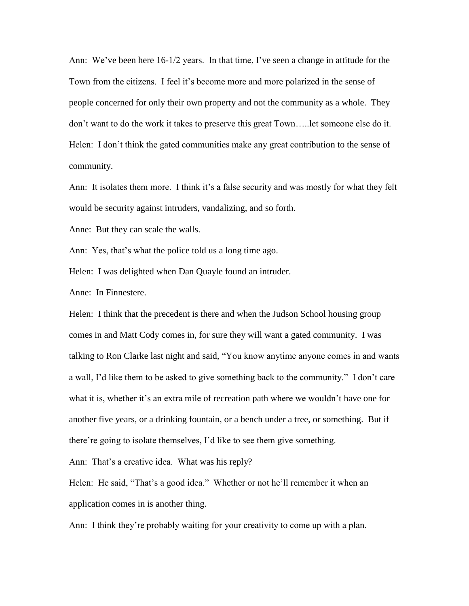Ann: We've been here 16-1/2 years. In that time, I've seen a change in attitude for the Town from the citizens. I feel it's become more and more polarized in the sense of people concerned for only their own property and not the community as a whole. They don't want to do the work it takes to preserve this great Town…..let someone else do it. Helen: I don't think the gated communities make any great contribution to the sense of community.

Ann: It isolates them more. I think it's a false security and was mostly for what they felt would be security against intruders, vandalizing, and so forth.

Anne: But they can scale the walls.

Ann: Yes, that's what the police told us a long time ago.

Helen: I was delighted when Dan Quayle found an intruder.

Anne: In Finnestere.

Helen: I think that the precedent is there and when the Judson School housing group comes in and Matt Cody comes in, for sure they will want a gated community. I was talking to Ron Clarke last night and said, "You know anytime anyone comes in and wants a wall, I'd like them to be asked to give something back to the community." I don't care what it is, whether it's an extra mile of recreation path where we wouldn't have one for another five years, or a drinking fountain, or a bench under a tree, or something. But if there're going to isolate themselves, I'd like to see them give something.

Ann: That's a creative idea. What was his reply?

Helen: He said, "That's a good idea." Whether or not he'll remember it when an application comes in is another thing.

Ann: I think they're probably waiting for your creativity to come up with a plan.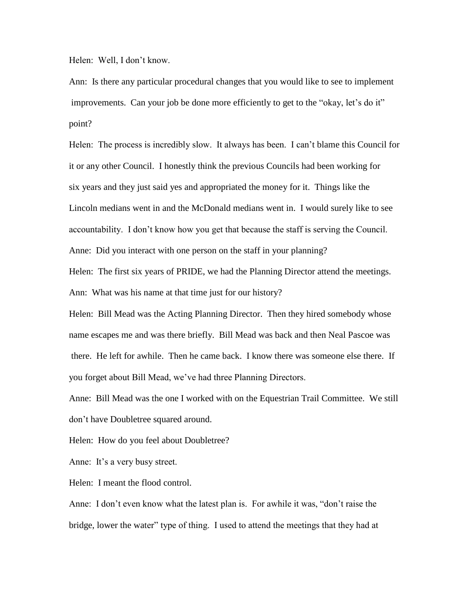Helen: Well, I don't know.

Ann: Is there any particular procedural changes that you would like to see to implement improvements. Can your job be done more efficiently to get to the "okay, let's do it" point?

Helen: The process is incredibly slow. It always has been. I can't blame this Council for it or any other Council. I honestly think the previous Councils had been working for six years and they just said yes and appropriated the money for it. Things like the Lincoln medians went in and the McDonald medians went in. I would surely like to see accountability. I don't know how you get that because the staff is serving the Council. Anne: Did you interact with one person on the staff in your planning?

Helen: The first six years of PRIDE, we had the Planning Director attend the meetings. Ann: What was his name at that time just for our history?

Helen: Bill Mead was the Acting Planning Director. Then they hired somebody whose name escapes me and was there briefly. Bill Mead was back and then Neal Pascoe was there. He left for awhile. Then he came back. I know there was someone else there. If you forget about Bill Mead, we've had three Planning Directors.

Anne: Bill Mead was the one I worked with on the Equestrian Trail Committee. We still don't have Doubletree squared around.

Helen: How do you feel about Doubletree?

Anne: It's a very busy street.

Helen: I meant the flood control.

Anne: I don't even know what the latest plan is. For awhile it was, "don't raise the bridge, lower the water" type of thing. I used to attend the meetings that they had at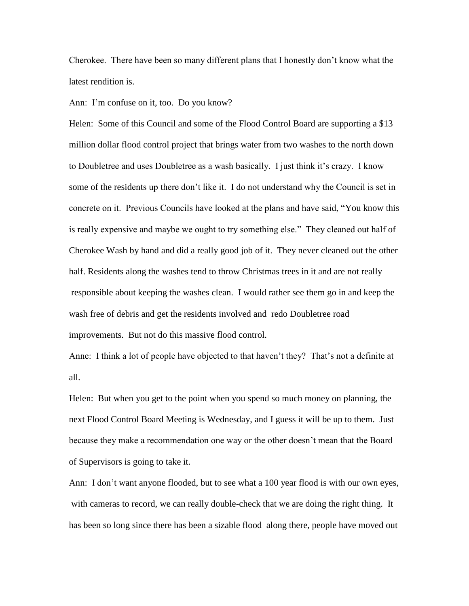Cherokee. There have been so many different plans that I honestly don't know what the latest rendition is.

Ann: I'm confuse on it, too. Do you know?

Helen: Some of this Council and some of the Flood Control Board are supporting a \$13 million dollar flood control project that brings water from two washes to the north down to Doubletree and uses Doubletree as a wash basically. I just think it's crazy. I know some of the residents up there don't like it. I do not understand why the Council is set in concrete on it. Previous Councils have looked at the plans and have said, "You know this is really expensive and maybe we ought to try something else." They cleaned out half of Cherokee Wash by hand and did a really good job of it. They never cleaned out the other half. Residents along the washes tend to throw Christmas trees in it and are not really responsible about keeping the washes clean. I would rather see them go in and keep the wash free of debris and get the residents involved and redo Doubletree road improvements. But not do this massive flood control.

Anne: I think a lot of people have objected to that haven't they? That's not a definite at all.

Helen: But when you get to the point when you spend so much money on planning, the next Flood Control Board Meeting is Wednesday, and I guess it will be up to them. Just because they make a recommendation one way or the other doesn't mean that the Board of Supervisors is going to take it.

Ann: I don't want anyone flooded, but to see what a 100 year flood is with our own eyes, with cameras to record, we can really double-check that we are doing the right thing. It has been so long since there has been a sizable flood along there, people have moved out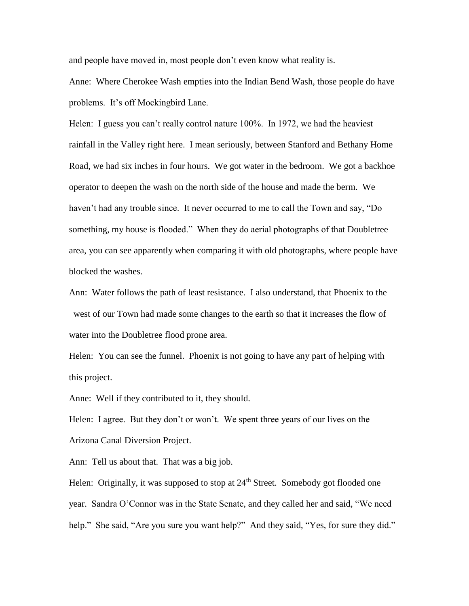and people have moved in, most people don't even know what reality is.

Anne: Where Cherokee Wash empties into the Indian Bend Wash, those people do have problems. It's off Mockingbird Lane.

Helen: I guess you can't really control nature 100%. In 1972, we had the heaviest rainfall in the Valley right here. I mean seriously, between Stanford and Bethany Home Road, we had six inches in four hours. We got water in the bedroom. We got a backhoe operator to deepen the wash on the north side of the house and made the berm. We haven't had any trouble since. It never occurred to me to call the Town and say, "Do something, my house is flooded." When they do aerial photographs of that Doubletree area, you can see apparently when comparing it with old photographs, where people have blocked the washes.

Ann: Water follows the path of least resistance. I also understand, that Phoenix to the west of our Town had made some changes to the earth so that it increases the flow of water into the Doubletree flood prone area.

Helen: You can see the funnel. Phoenix is not going to have any part of helping with this project.

Anne: Well if they contributed to it, they should.

Helen: I agree. But they don't or won't. We spent three years of our lives on the Arizona Canal Diversion Project.

Ann: Tell us about that. That was a big job.

Helen: Originally, it was supposed to stop at  $24<sup>th</sup>$  Street. Somebody got flooded one year. Sandra O'Connor was in the State Senate, and they called her and said, "We need help." She said, "Are you sure you want help?" And they said, "Yes, for sure they did."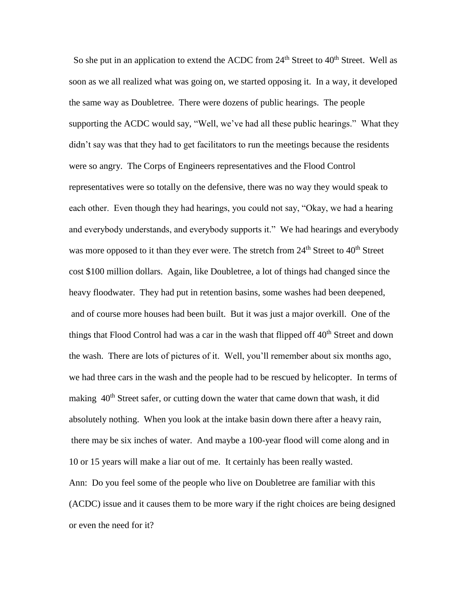So she put in an application to extend the ACDC from  $24<sup>th</sup>$  Street to  $40<sup>th</sup>$  Street. Well as soon as we all realized what was going on, we started opposing it. In a way, it developed the same way as Doubletree. There were dozens of public hearings. The people supporting the ACDC would say, "Well, we've had all these public hearings." What they didn't say was that they had to get facilitators to run the meetings because the residents were so angry. The Corps of Engineers representatives and the Flood Control representatives were so totally on the defensive, there was no way they would speak to each other. Even though they had hearings, you could not say, "Okay, we had a hearing and everybody understands, and everybody supports it." We had hearings and everybody was more opposed to it than they ever were. The stretch from 24<sup>th</sup> Street to 40<sup>th</sup> Street cost \$100 million dollars. Again, like Doubletree, a lot of things had changed since the heavy floodwater. They had put in retention basins, some washes had been deepened, and of course more houses had been built. But it was just a major overkill. One of the things that Flood Control had was a car in the wash that flipped off 40<sup>th</sup> Street and down the wash. There are lots of pictures of it. Well, you'll remember about six months ago, we had three cars in the wash and the people had to be rescued by helicopter. In terms of making  $40<sup>th</sup>$  Street safer, or cutting down the water that came down that wash, it did absolutely nothing. When you look at the intake basin down there after a heavy rain, there may be six inches of water. And maybe a 100-year flood will come along and in 10 or 15 years will make a liar out of me. It certainly has been really wasted. Ann: Do you feel some of the people who live on Doubletree are familiar with this (ACDC) issue and it causes them to be more wary if the right choices are being designed or even the need for it?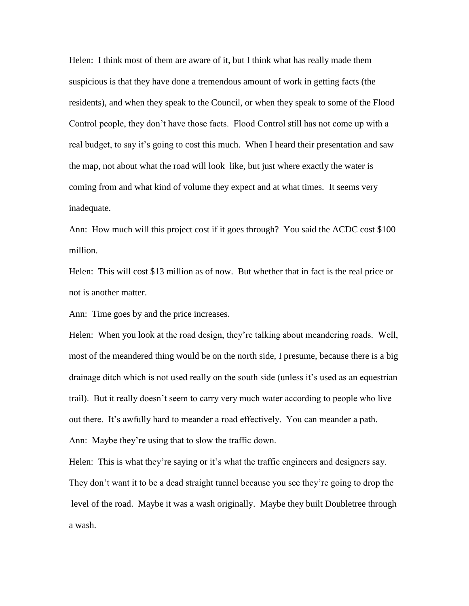Helen: I think most of them are aware of it, but I think what has really made them suspicious is that they have done a tremendous amount of work in getting facts (the residents), and when they speak to the Council, or when they speak to some of the Flood Control people, they don't have those facts. Flood Control still has not come up with a real budget, to say it's going to cost this much. When I heard their presentation and saw the map, not about what the road will look like, but just where exactly the water is coming from and what kind of volume they expect and at what times. It seems very inadequate.

Ann: How much will this project cost if it goes through? You said the ACDC cost \$100 million.

Helen: This will cost \$13 million as of now. But whether that in fact is the real price or not is another matter.

Ann: Time goes by and the price increases.

Helen: When you look at the road design, they're talking about meandering roads. Well, most of the meandered thing would be on the north side, I presume, because there is a big drainage ditch which is not used really on the south side (unless it's used as an equestrian trail). But it really doesn't seem to carry very much water according to people who live out there. It's awfully hard to meander a road effectively. You can meander a path. Ann: Maybe they're using that to slow the traffic down.

Helen: This is what they're saying or it's what the traffic engineers and designers say. They don't want it to be a dead straight tunnel because you see they're going to drop the level of the road. Maybe it was a wash originally. Maybe they built Doubletree through a wash.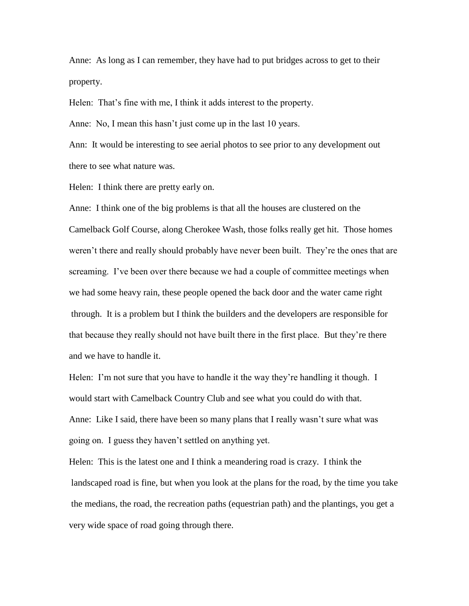Anne: As long as I can remember, they have had to put bridges across to get to their property.

Helen: That's fine with me, I think it adds interest to the property.

Anne: No, I mean this hasn't just come up in the last 10 years.

Ann: It would be interesting to see aerial photos to see prior to any development out there to see what nature was.

Helen: I think there are pretty early on.

Anne: I think one of the big problems is that all the houses are clustered on the Camelback Golf Course, along Cherokee Wash, those folks really get hit. Those homes weren't there and really should probably have never been built. They're the ones that are screaming. I've been over there because we had a couple of committee meetings when we had some heavy rain, these people opened the back door and the water came right through. It is a problem but I think the builders and the developers are responsible for that because they really should not have built there in the first place. But they're there and we have to handle it.

Helen: I'm not sure that you have to handle it the way they're handling it though. I would start with Camelback Country Club and see what you could do with that. Anne: Like I said, there have been so many plans that I really wasn't sure what was going on. I guess they haven't settled on anything yet.

Helen: This is the latest one and I think a meandering road is crazy. I think the landscaped road is fine, but when you look at the plans for the road, by the time you take the medians, the road, the recreation paths (equestrian path) and the plantings, you get a very wide space of road going through there.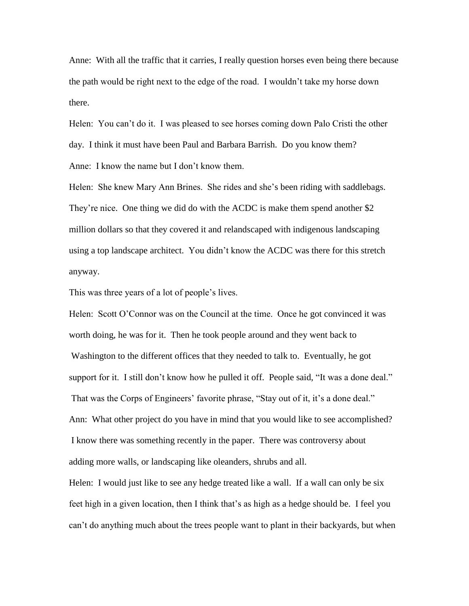Anne: With all the traffic that it carries, I really question horses even being there because the path would be right next to the edge of the road. I wouldn't take my horse down there.

Helen: You can't do it. I was pleased to see horses coming down Palo Cristi the other day. I think it must have been Paul and Barbara Barrish. Do you know them? Anne: I know the name but I don't know them.

Helen: She knew Mary Ann Brines. She rides and she's been riding with saddlebags. They're nice. One thing we did do with the ACDC is make them spend another \$2 million dollars so that they covered it and relandscaped with indigenous landscaping using a top landscape architect. You didn't know the ACDC was there for this stretch anyway.

This was three years of a lot of people's lives.

Helen: Scott O'Connor was on the Council at the time. Once he got convinced it was worth doing, he was for it. Then he took people around and they went back to Washington to the different offices that they needed to talk to. Eventually, he got support for it. I still don't know how he pulled it off. People said, "It was a done deal." That was the Corps of Engineers' favorite phrase, "Stay out of it, it's a done deal." Ann: What other project do you have in mind that you would like to see accomplished? I know there was something recently in the paper. There was controversy about adding more walls, or landscaping like oleanders, shrubs and all.

Helen: I would just like to see any hedge treated like a wall. If a wall can only be six feet high in a given location, then I think that's as high as a hedge should be. I feel you can't do anything much about the trees people want to plant in their backyards, but when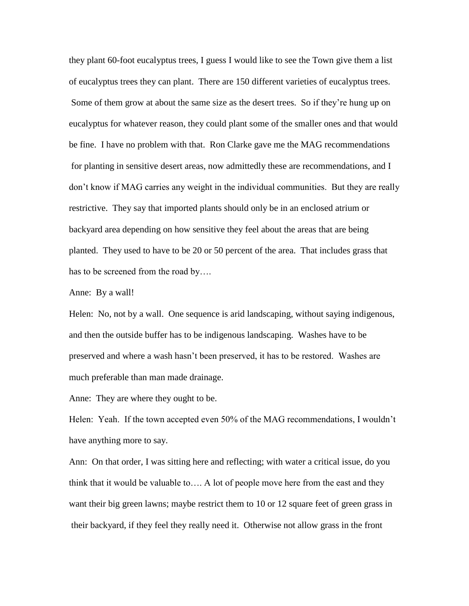they plant 60-foot eucalyptus trees, I guess I would like to see the Town give them a list of eucalyptus trees they can plant. There are 150 different varieties of eucalyptus trees. Some of them grow at about the same size as the desert trees. So if they're hung up on eucalyptus for whatever reason, they could plant some of the smaller ones and that would be fine. I have no problem with that. Ron Clarke gave me the MAG recommendations for planting in sensitive desert areas, now admittedly these are recommendations, and I don't know if MAG carries any weight in the individual communities. But they are really restrictive. They say that imported plants should only be in an enclosed atrium or backyard area depending on how sensitive they feel about the areas that are being planted. They used to have to be 20 or 50 percent of the area. That includes grass that has to be screened from the road by….

Anne: By a wall!

Helen: No, not by a wall. One sequence is arid landscaping, without saying indigenous, and then the outside buffer has to be indigenous landscaping. Washes have to be preserved and where a wash hasn't been preserved, it has to be restored. Washes are much preferable than man made drainage.

Anne: They are where they ought to be.

Helen: Yeah. If the town accepted even 50% of the MAG recommendations, I wouldn't have anything more to say.

Ann: On that order, I was sitting here and reflecting; with water a critical issue, do you think that it would be valuable to…. A lot of people move here from the east and they want their big green lawns; maybe restrict them to 10 or 12 square feet of green grass in their backyard, if they feel they really need it. Otherwise not allow grass in the front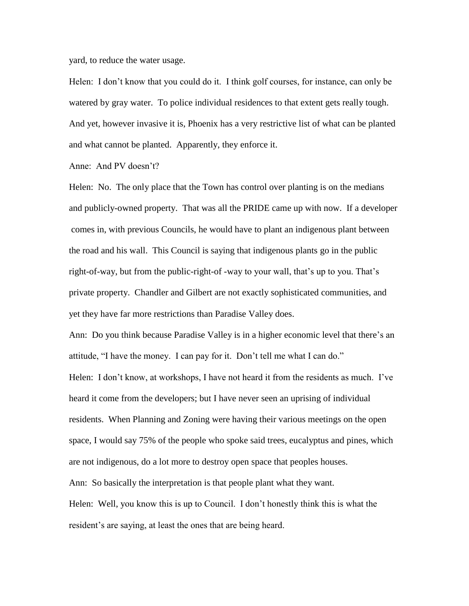yard, to reduce the water usage.

Helen: I don't know that you could do it. I think golf courses, for instance, can only be watered by gray water. To police individual residences to that extent gets really tough. And yet, however invasive it is, Phoenix has a very restrictive list of what can be planted and what cannot be planted. Apparently, they enforce it.

Anne: And PV doesn't?

Helen: No. The only place that the Town has control over planting is on the medians and publicly-owned property. That was all the PRIDE came up with now. If a developer comes in, with previous Councils, he would have to plant an indigenous plant between the road and his wall. This Council is saying that indigenous plants go in the public right-of-way, but from the public-right-of -way to your wall, that's up to you. That's private property. Chandler and Gilbert are not exactly sophisticated communities, and yet they have far more restrictions than Paradise Valley does.

Ann: Do you think because Paradise Valley is in a higher economic level that there's an attitude, "I have the money. I can pay for it. Don't tell me what I can do."

Helen: I don't know, at workshops, I have not heard it from the residents as much. I've heard it come from the developers; but I have never seen an uprising of individual residents. When Planning and Zoning were having their various meetings on the open space, I would say 75% of the people who spoke said trees, eucalyptus and pines, which are not indigenous, do a lot more to destroy open space that peoples houses.

Ann: So basically the interpretation is that people plant what they want.

Helen: Well, you know this is up to Council. I don't honestly think this is what the resident's are saying, at least the ones that are being heard.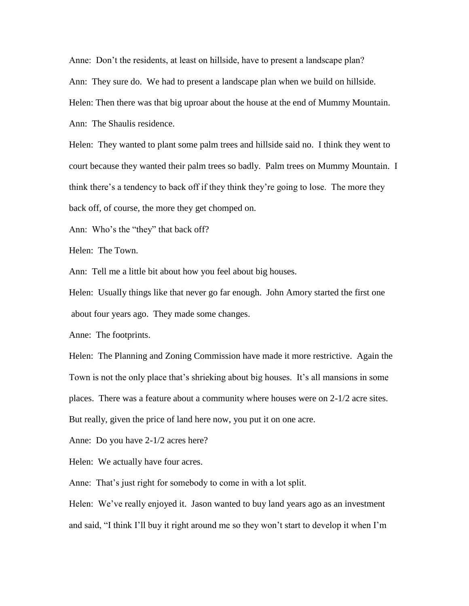Anne: Don't the residents, at least on hillside, have to present a landscape plan? Ann: They sure do. We had to present a landscape plan when we build on hillside. Helen: Then there was that big uproar about the house at the end of Mummy Mountain. Ann: The Shaulis residence.

Helen: They wanted to plant some palm trees and hillside said no. I think they went to court because they wanted their palm trees so badly. Palm trees on Mummy Mountain. I think there's a tendency to back off if they think they're going to lose. The more they back off, of course, the more they get chomped on.

Ann: Who's the "they" that back off?

Helen: The Town.

Ann: Tell me a little bit about how you feel about big houses.

Helen: Usually things like that never go far enough. John Amory started the first one about four years ago. They made some changes.

Anne: The footprints.

Helen: The Planning and Zoning Commission have made it more restrictive. Again the Town is not the only place that's shrieking about big houses. It's all mansions in some places. There was a feature about a community where houses were on 2-1/2 acre sites. But really, given the price of land here now, you put it on one acre.

Anne: Do you have 2-1/2 acres here?

Helen: We actually have four acres.

Anne: That's just right for somebody to come in with a lot split.

Helen: We've really enjoyed it. Jason wanted to buy land years ago as an investment and said, "I think I'll buy it right around me so they won't start to develop it when I'm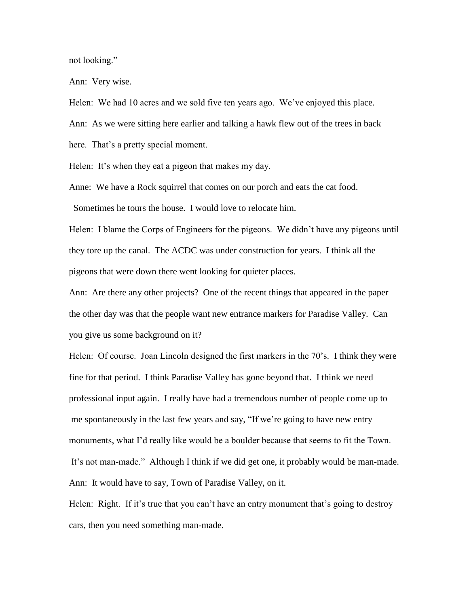not looking."

Ann: Very wise.

Helen: We had 10 acres and we sold five ten years ago. We've enjoyed this place.

Ann: As we were sitting here earlier and talking a hawk flew out of the trees in back

here. That's a pretty special moment.

Helen: It's when they eat a pigeon that makes my day.

Anne: We have a Rock squirrel that comes on our porch and eats the cat food.

Sometimes he tours the house. I would love to relocate him.

Helen: I blame the Corps of Engineers for the pigeons. We didn't have any pigeons until they tore up the canal. The ACDC was under construction for years. I think all the pigeons that were down there went looking for quieter places.

Ann: Are there any other projects? One of the recent things that appeared in the paper the other day was that the people want new entrance markers for Paradise Valley. Can you give us some background on it?

Helen: Of course. Joan Lincoln designed the first markers in the 70's. I think they were fine for that period. I think Paradise Valley has gone beyond that. I think we need professional input again. I really have had a tremendous number of people come up to me spontaneously in the last few years and say, "If we're going to have new entry monuments, what I'd really like would be a boulder because that seems to fit the Town. It's not man-made." Although I think if we did get one, it probably would be man-made. Ann: It would have to say, Town of Paradise Valley, on it.

Helen: Right. If it's true that you can't have an entry monument that's going to destroy cars, then you need something man-made.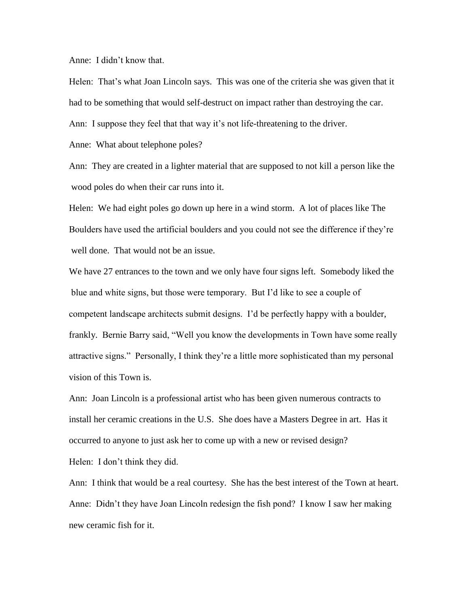Anne: I didn't know that.

Helen: That's what Joan Lincoln says. This was one of the criteria she was given that it had to be something that would self-destruct on impact rather than destroying the car.

Ann: I suppose they feel that that way it's not life-threatening to the driver.

Anne: What about telephone poles?

Ann: They are created in a lighter material that are supposed to not kill a person like the wood poles do when their car runs into it.

Helen: We had eight poles go down up here in a wind storm. A lot of places like The Boulders have used the artificial boulders and you could not see the difference if they're well done. That would not be an issue.

We have 27 entrances to the town and we only have four signs left. Somebody liked the blue and white signs, but those were temporary. But I'd like to see a couple of competent landscape architects submit designs. I'd be perfectly happy with a boulder, frankly. Bernie Barry said, "Well you know the developments in Town have some really attractive signs." Personally, I think they're a little more sophisticated than my personal vision of this Town is.

Ann: Joan Lincoln is a professional artist who has been given numerous contracts to install her ceramic creations in the U.S. She does have a Masters Degree in art. Has it occurred to anyone to just ask her to come up with a new or revised design?

Helen: I don't think they did.

Ann: I think that would be a real courtesy. She has the best interest of the Town at heart. Anne: Didn't they have Joan Lincoln redesign the fish pond? I know I saw her making new ceramic fish for it.